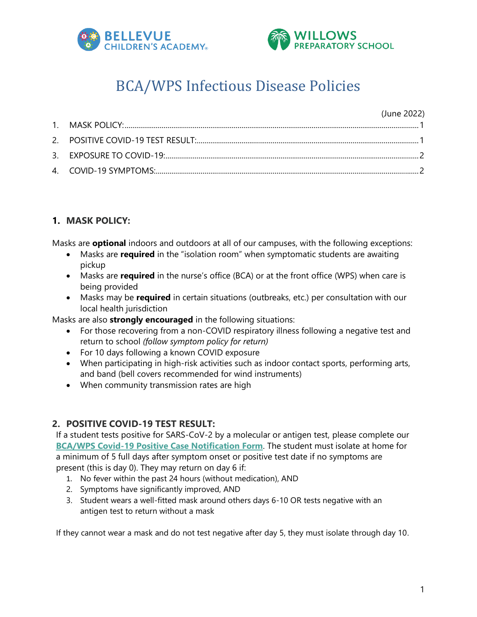



# BCA/WPS Infectious Disease Policies

#### (June 2022)

## <span id="page-0-0"></span>**1. MASK POLICY:**

Masks are **optional** indoors and outdoors at all of our campuses, with the following exceptions:

- Masks are **required** in the "isolation room" when symptomatic students are awaiting pickup
- Masks are **required** in the nurse's office (BCA) or at the front office (WPS) when care is being provided
- Masks may be **required** in certain situations (outbreaks, etc.) per consultation with our local health jurisdiction

Masks are also **strongly encouraged** in the following situations:

- For those recovering from a non-COVID respiratory illness following a negative test and return to school *(follow symptom policy for return)*
- For 10 days following a known COVID exposure
- When participating in high-risk activities such as indoor contact sports, performing arts, and band (bell covers recommended for wind instruments)
- When community transmission rates are high

# <span id="page-0-1"></span>**2. POSITIVE COVID-19 TEST RESULT:**

If a student tests positive for SARS-CoV-2 by a molecular or antigen test, please complete our **[BCA/WPS Covid-19 Positive Case Notification Form](https://forms.office.com/r/XvZiui8J4R)**. The student must isolate at home for a minimum of 5 full days after symptom onset or positive test date if no symptoms are present (this is day 0). They may return on day 6 if:

- 1. No fever within the past 24 hours (without medication), AND
- 2. Symptoms have significantly improved, AND
- 3. Student wears a well-fitted mask around others days 6-10 OR tests negative with an antigen test to return without a mask

If they cannot wear a mask and do not test negative after day 5, they must isolate through day 10.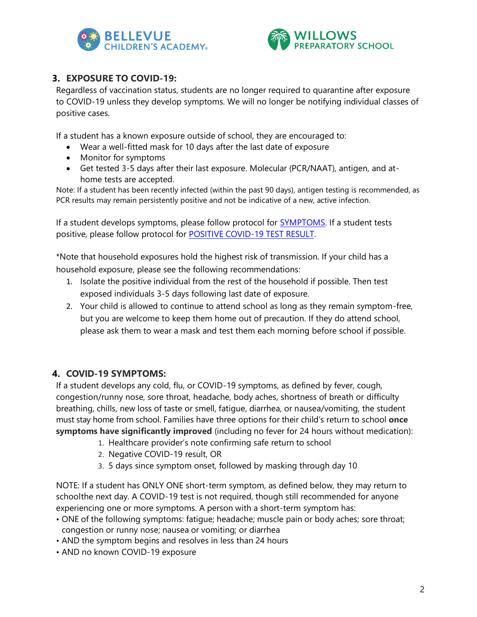



## <span id="page-1-0"></span>**3. EXPOSURE TO COVID-19:**

Regardless of vaccination status, students are no longer required to quarantine after exposure to COVID-19 unless they develop symptoms. We will no longer be notifying individual classes of positive cases.

If a student has a known exposure outside of school, they are encouraged to:

- Wear a well-fitted mask for 10 days after the last date of exposure
- Monitor for symptoms
- Get tested 3-5 days after their last exposure. Molecular (PCR/NAAT), antigen, and athome tests are accepted.

Note: If a student has been recently infected (within the past 90 days), antigen testing is recommended, as PCR results may remain persistently positive and not be indicative of a new, active infection.

If a student develops symptoms, please follow protocol for [SYMPTOMS.](#page-1-1) If a student tests positive, please follow protocol for POSITIVE [COVID-19](#page-0-1) TEST RESULT.

\*Note that household exposures hold the highest risk of transmission. If your child has a household exposure, please see the following recommendations:

- 1. Isolate the positive individual from the rest of the household if possible. Then test exposed individuals 3-5 days following last date of exposure.
- 2. Your child is allowed to continue to attend school as long as they remain symptom-free, but you are welcome to keep them home out of precaution. If they do attend school, please ask them to wear a mask and test them each morning before school if possible.

## <span id="page-1-1"></span>**4. COVID-19 SYMPTOMS:**

If a student develops any cold, flu, or COVID-19 symptoms, as defined by fever, cough, congestion/runny nose, sore throat, headache, body aches, shortness of breath or difficulty breathing, chills, new loss of taste or smell, fatigue, diarrhea, or nausea/vomiting, the student must stay home from school. Families have three options for their child's return to school **once symptoms have significantly improved** (including no fever for 24 hours without medication):

- 1. Healthcare provider's note confirming safe return to school
- 2. Negative COVID-19 result, OR
- 3. 5 days since symptom onset, followed by masking through day 10

NOTE: If a student has ONLY ONE short-term symptom, as defined below, they may return to schoolthe next day. A COVID-19 test is not required, though still recommended for anyone experiencing one or more symptoms. A person with a short-term symptom has:

- ONE of the following symptoms: fatigue; headache; muscle pain or body aches; sore throat; congestion or runny nose; nausea or vomiting; or diarrhea
- AND the symptom begins and resolves in less than 24 hours
- AND no known COVID-19 exposure